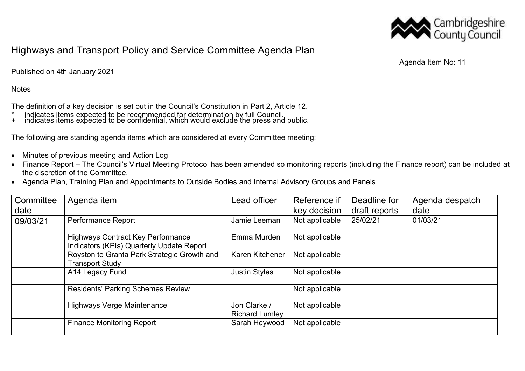

## Highways and Transport Policy and Service Committee Agenda Plan

Published on 4th January 2021

## **Notes**

The definition of a key decision is set out in the Council's Constitution in Part 2, Article 12.

- \* indicates items expected to be recommended for determination by full Council.
- + indicates items expected to be confidential, which would exclude the press and public.

The following are standing agenda items which are considered at every Committee meeting:

- Minutes of previous meeting and Action Log
- Finance Report The Council's Virtual Meeting Protocol has been amended so monitoring reports (including the Finance report) can be included at the discretion of the Committee.
- Agenda Plan, Training Plan and Appointments to Outside Bodies and Internal Advisory Groups and Panels

| Committee<br>date | Agenda item                                                                           | Lead officer                          | Reference if<br>key decision | Deadline for<br>draft reports | Agenda despatch<br>date |
|-------------------|---------------------------------------------------------------------------------------|---------------------------------------|------------------------------|-------------------------------|-------------------------|
| 09/03/21          | Performance Report                                                                    | Jamie Leeman                          | Not applicable               | 25/02/21                      | 01/03/21                |
|                   | <b>Highways Contract Key Performance</b><br>Indicators (KPIs) Quarterly Update Report | Emma Murden                           | Not applicable               |                               |                         |
|                   | Royston to Granta Park Strategic Growth and<br><b>Transport Study</b>                 | Karen Kitchener                       | Not applicable               |                               |                         |
|                   | A14 Legacy Fund                                                                       | <b>Justin Styles</b>                  | Not applicable               |                               |                         |
|                   | <b>Residents' Parking Schemes Review</b>                                              |                                       | Not applicable               |                               |                         |
|                   | <b>Highways Verge Maintenance</b>                                                     | Jon Clarke /<br><b>Richard Lumley</b> | Not applicable               |                               |                         |
|                   | <b>Finance Monitoring Report</b>                                                      | Sarah Heywood                         | Not applicable               |                               |                         |

Agenda Item No: 11